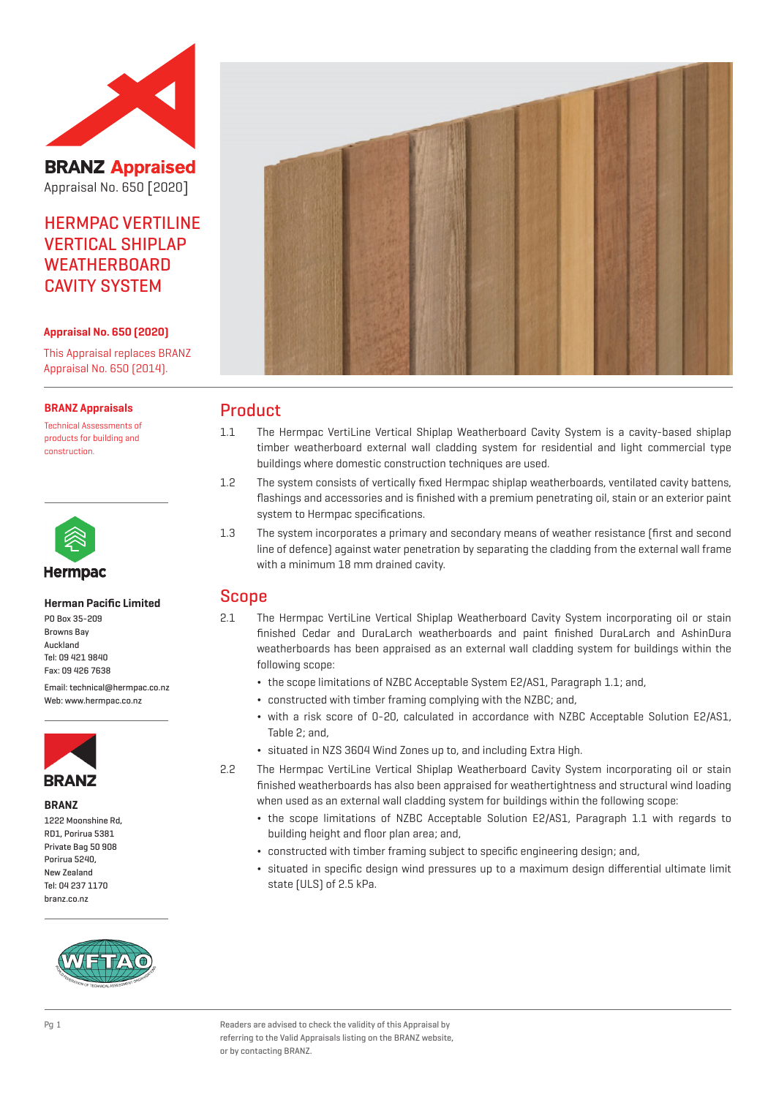

**BRANZ Appraised** Appraisal No. 650 [2020]

# HERMPAC VERTILINE **VERTICAL SHIPLAP WEATHERBOARD** CAVITY SYSTEM

#### **Appraisal No. 650 (2020)**

This Appraisal replaces BRANZ Appraisal No. 650 (2014).

#### **BRANZ Appraisals**

Technical Assessments of products for building and construction.



#### **Herman Pacific Limited**

PO Box 35-209 Browns Bay Auckland Tel: 09 421 9840 Fax: 09 426 7638

Email: technical@hermpac.co.nz Weh: www.hermnac.co.nz



**BRANZ**

1222 Moonshine Rd, RD1, Porirua 5381 Private Bag 50 908 Porirua 5240, New Zealand Tel: 04 237 1170 branz.co.nz





## Product

- 1.1 The Hermpac VertiLine Vertical Shiplap Weatherboard Cavity System is a cavity-based shiplap timber weatherboard external wall cladding system for residential and light commercial type buildings where domestic construction techniques are used.
- 1.2 The system consists of vertically fixed Hermpac shiplap weatherboards, ventilated cavity battens, flashings and accessories and is finished with a premium penetrating oil, stain or an exterior paint system to Hermpac specifications.
- 1.3 The system incorporates a primary and secondary means of weather resistance (first and second line of defence) against water penetration by separating the cladding from the external wall frame with a minimum 18 mm drained cavity.

## Scope

- 2.1 The Hermpac VertiLine Vertical Shiplap Weatherboard Cavity System incorporating oil or stain finished Cedar and DuraLarch weatherboards and paint finished DuraLarch and AshinDura weatherboards has been appraised as an external wall cladding system for buildings within the following scope:
	- ¬ the scope limitations of NZBC Acceptable System E2/AS1, Paragraph 1.1; and,
	- ¬ constructed with timber framing complying with the NZBC; and,
	- ¬ with a risk score of 0-20, calculated in accordance with NZBC Acceptable Solution E2/AS1, Table 2; and,
	- ¬ situated in NZS 3604 Wind Zones up to, and including Extra High.
- 2.2 The Hermpac VertiLine Vertical Shiplap Weatherboard Cavity System incorporating oil or stain finished weatherboards has also been appraised for weathertightness and structural wind loading when used as an external wall cladding system for buildings within the following scope:
	- ¬ the scope limitations of NZBC Acceptable Solution E2/AS1, Paragraph 1.1 with regards to building height and floor plan area; and,
	- ¬ constructed with timber framing subject to specific engineering design; and,
	- ¬ situated in specific design wind pressures up to a maximum design differential ultimate limit state (ULS) of 2.5 kPa.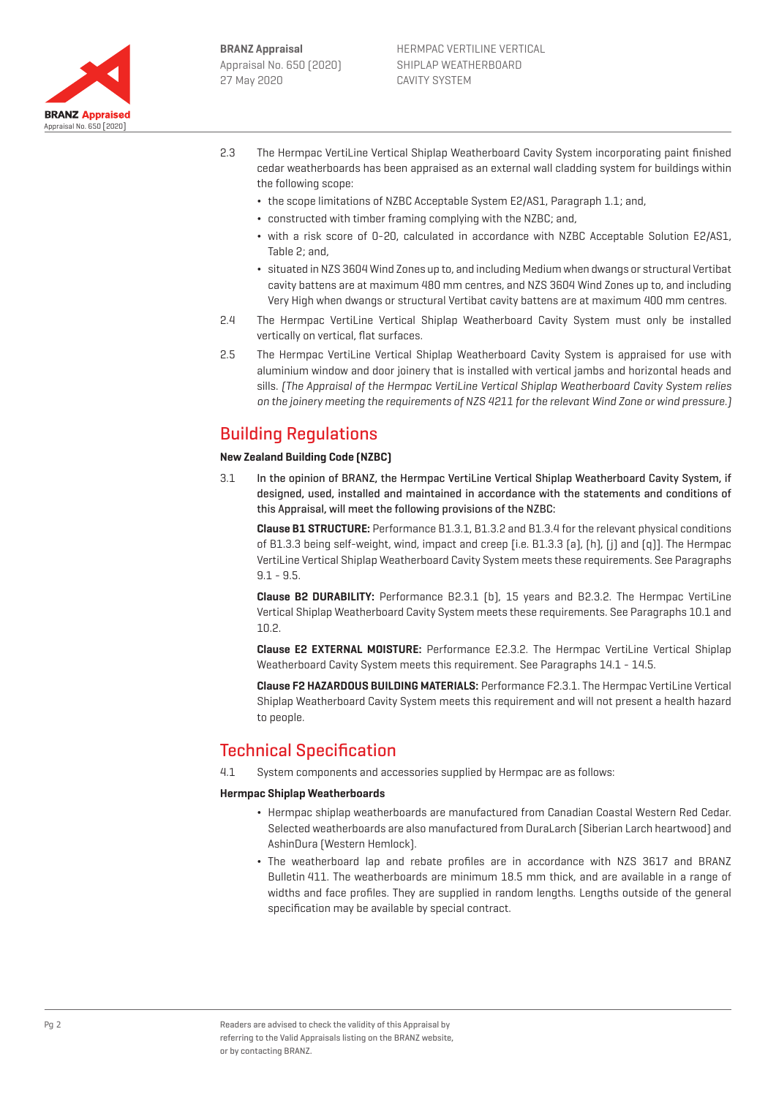

- 2.3 The Hermpac VertiLine Vertical Shiplap Weatherboard Cavity System incorporating paint finished cedar weatherboards has been appraised as an external wall cladding system for buildings within the following scope:
	- ¬ the scope limitations of NZBC Acceptable System E2/AS1, Paragraph 1.1; and,
	- ¬ constructed with timber framing complying with the NZBC; and,
	- ¬ with a risk score of 0-20, calculated in accordance with NZBC Acceptable Solution E2/AS1, Table 2; and,
	- ¬ situated in NZS 3604 Wind Zones up to, and including Medium when dwangs or structural Vertibat cavity battens are at maximum 480 mm centres, and NZS 3604 Wind Zones up to, and including Very High when dwangs or structural Vertibat cavity battens are at maximum 400 mm centres.
- 2.4 The Hermpac VertiLine Vertical Shiplap Weatherboard Cavity System must only be installed vertically on vertical, flat surfaces.
- 2.5 The Hermpac VertiLine Vertical Shiplap Weatherboard Cavity System is appraised for use with aluminium window and door joinery that is installed with vertical jambs and horizontal heads and sills. (The Appraisal of the Hermpac VertiLine Vertical Shiplap Weatherboard Cavity System relies on the joinery meeting the requirements of NZS 4211 for the relevant Wind Zone or wind pressure.)

# Building Regulations

### **New Zealand Building Code (NZBC)**

3.1 In the opinion of BRANZ, the Hermpac VertiLine Vertical Shiplap Weatherboard Cavity System, if designed, used, installed and maintained in accordance with the statements and conditions of this Appraisal, will meet the following provisions of the NZBC:

**Clause B1 STRUCTURE:** Performance B1.3.1, B1.3.2 and B1.3.4 for the relevant physical conditions of B1.3.3 being self-weight, wind, impact and creep [i.e. B1.3.3 (a), (h), (j) and (q)]. The Hermpac VertiLine Vertical Shiplap Weatherboard Cavity System meets these requirements. See Paragraphs 9.1 - 9.5.

**Clause B2 DURABILITY:** Performance B2.3.1 (b), 15 years and B2.3.2. The Hermpac VertiLine Vertical Shiplap Weatherboard Cavity System meets these requirements. See Paragraphs 10.1 and 10.2.

**Clause E2 EXTERNAL MOISTURE:** Performance E2.3.2. The Hermpac VertiLine Vertical Shiplap Weatherboard Cavity System meets this requirement. See Paragraphs 14.1 - 14.5.

**Clause F2 HAZARDOUS BUILDING MATERIALS:** Performance F2.3.1. The Hermpac VertiLine Vertical Shiplap Weatherboard Cavity System meets this requirement and will not present a health hazard to people.

# Technical Specification

4.1 System components and accessories supplied by Hermpac are as follows:

#### **Hermpac Shiplap Weatherboards**

- ¬ Hermpac shiplap weatherboards are manufactured from Canadian Coastal Western Red Cedar. Selected weatherboards are also manufactured from DuraLarch (Siberian Larch heartwood) and AshinDura (Western Hemlock).
- ¬ The weatherboard lap and rebate profiles are in accordance with NZS 3617 and BRANZ Bulletin 411. The weatherboards are minimum 18.5 mm thick, and are available in a range of widths and face profiles. They are supplied in random lengths. Lengths outside of the general specification may be available by special contract.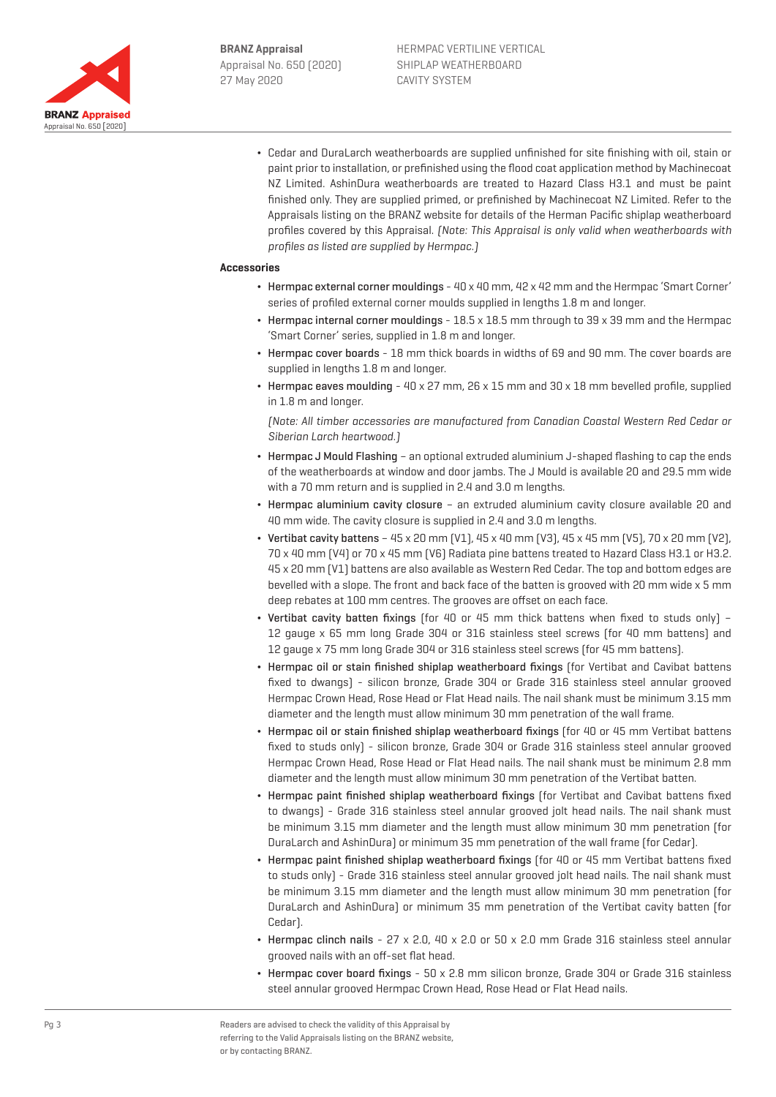

¬ Cedar and DuraLarch weatherboards are supplied unfinished for site finishing with oil, stain or paint prior to installation, or prefinished using the flood coat application method by Machinecoat NZ Limited. AshinDura weatherboards are treated to Hazard Class H3.1 and must be paint finished only. They are supplied primed, or prefinished by Machinecoat NZ Limited. Refer to the Appraisals listing on the BRANZ website for details of the Herman Pacific shiplap weatherboard profiles covered by this Appraisal. (Note: This Appraisal is only valid when weatherboards with profiles as listed are supplied by Hermpac.)

#### **Accessories**

- ¬ Hermpac external corner mouldings 40 x 40 mm, 42 x 42 mm and the Hermpac 'Smart Corner' series of profiled external corner moulds supplied in lengths 1.8 m and longer.
- ¬ Hermpac internal corner mouldings 18.5 x 18.5 mm through to 39 x 39 mm and the Hermpac 'Smart Corner' series, supplied in 1.8 m and longer.
- ¬ Hermpac cover boards 18 mm thick boards in widths of 69 and 90 mm. The cover boards are supplied in lengths 1.8 m and longer.
- $\cdot$  Hermpac eaves moulding 40 x 27 mm, 26 x 15 mm and 30 x 18 mm bevelled profile, supplied in 1.8 m and longer.

(Note: All timber accessories are manufactured from Canadian Coastal Western Red Cedar or Siberian Larch heartwood.)

- ¬ Hermpac J Mould Flashing an optional extruded aluminium J-shaped flashing to cap the ends of the weatherboards at window and door jambs. The J Mould is available 20 and 29.5 mm wide with a 70 mm return and is supplied in 2.4 and 3.0 m lengths.
- ¬ Hermpac aluminium cavity closure an extruded aluminium cavity closure available 20 and 40 mm wide. The cavity closure is supplied in 2.4 and 3.0 m lengths.
- $\bullet$  Vertibat cavity battens 45 x 20 mm (V1), 45 x 40 mm (V3), 45 x 45 mm (V5), 70 x 20 mm (V2), 70 x 40 mm (V4) or 70 x 45 mm (V6) Radiata pine battens treated to Hazard Class H3.1 or H3.2. 45 x 20 mm (V1) battens are also available as Western Red Cedar. The top and bottom edges are bevelled with a slope. The front and back face of the batten is grooved with 20 mm wide x 5 mm deep rebates at 100 mm centres. The grooves are offset on each face.
- ¬ Vertibat cavity batten fixings (for 40 or 45 mm thick battens when fixed to studs only) 12 gauge x 65 mm long Grade 304 or 316 stainless steel screws (for 40 mm battens) and 12 gauge x 75 mm long Grade 304 or 316 stainless steel screws (for 45 mm battens).
- Hermpac oil or stain finished shiplap weatherboard fixings (for Vertibat and Cavibat battens fixed to dwangs) - silicon bronze, Grade 304 or Grade 316 stainless steel annular grooved Hermpac Crown Head, Rose Head or Flat Head nails. The nail shank must be minimum 3.15 mm diameter and the length must allow minimum 30 mm penetration of the wall frame.
- Hermpac oil or stain finished shiplap weatherboard fixings (for 40 or 45 mm Vertibat battens fixed to studs only) - silicon bronze, Grade 304 or Grade 316 stainless steel annular grooved Hermpac Crown Head, Rose Head or Flat Head nails. The nail shank must be minimum 2.8 mm diameter and the length must allow minimum 30 mm penetration of the Vertibat batten.
- ¬ Hermpac paint finished shiplap weatherboard fixings (for Vertibat and Cavibat battens fixed to dwangs) - Grade 316 stainless steel annular grooved jolt head nails. The nail shank must be minimum 3.15 mm diameter and the length must allow minimum 30 mm penetration (for DuraLarch and AshinDura) or minimum 35 mm penetration of the wall frame (for Cedar).
- ¬ Hermpac paint finished shiplap weatherboard fixings (for 40 or 45 mm Vertibat battens fixed to studs only) - Grade 316 stainless steel annular grooved jolt head nails. The nail shank must be minimum 3.15 mm diameter and the length must allow minimum 30 mm penetration (for DuraLarch and AshinDura) or minimum 35 mm penetration of the Vertibat cavity batten (for Cedar).
- $\cdot$  Hermpac clinch nails 27 x 2.0, 40 x 2.0 or 50 x 2.0 mm Grade 316 stainless steel annular grooved nails with an off-set flat head.
- $\cdot$  Hermpac cover board fixings 50 x 2.8 mm silicon bronze, Grade 304 or Grade 316 stainless steel annular grooved Hermpac Crown Head, Rose Head or Flat Head nails.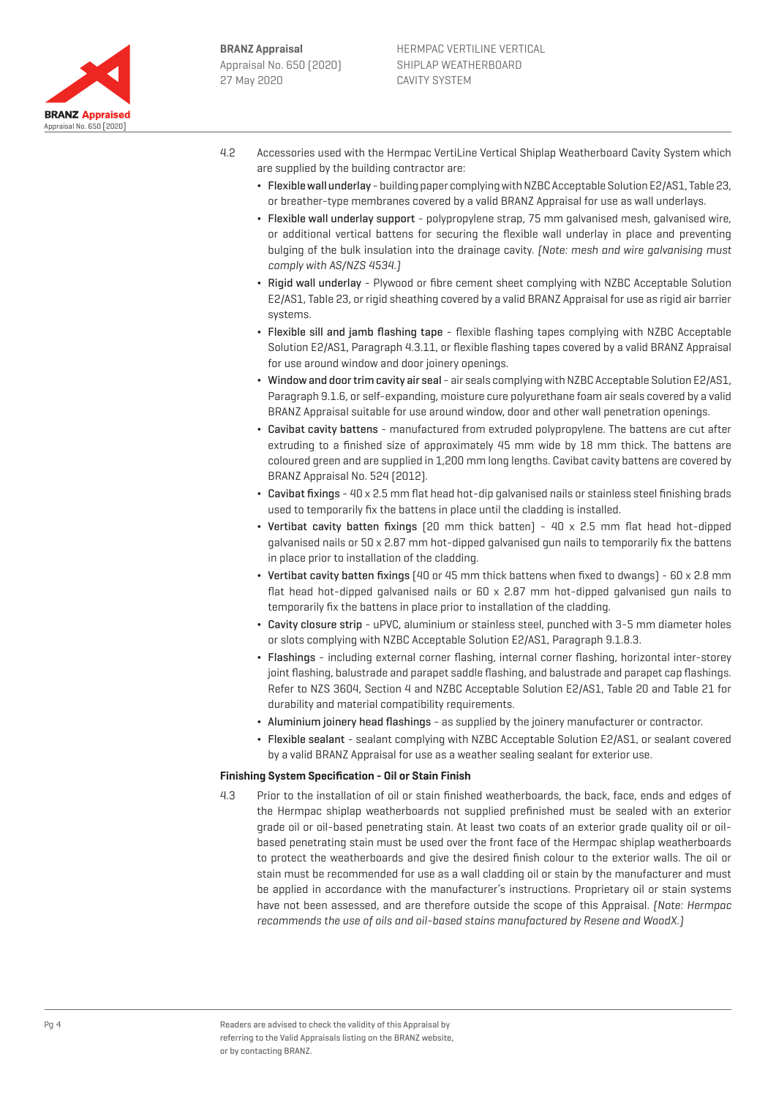

- 4.2 Accessories used with the Hermpac VertiLine Vertical Shiplap Weatherboard Cavity System which are supplied by the building contractor are:
	- ¬ Flexible wall underlay building paper complying with NZBC Acceptable Solution E2/AS1, Table 23, or breather-type membranes covered by a valid BRANZ Appraisal for use as wall underlays.
	- ¬ Flexible wall underlay support polypropylene strap, 75 mm galvanised mesh, galvanised wire, or additional vertical battens for securing the flexible wall underlay in place and preventing bulging of the bulk insulation into the drainage cavity. (Note: mesh and wire galvanising must comply with AS/NZS 4534.)
	- ¬ Rigid wall underlay Plywood or fibre cement sheet complying with NZBC Acceptable Solution E2/AS1, Table 23, or rigid sheathing covered by a valid BRANZ Appraisal for use as rigid air barrier systems.
	- ¬ Flexible sill and jamb flashing tape flexible flashing tapes complying with NZBC Acceptable Solution E2/AS1, Paragraph 4.3.11, or flexible flashing tapes covered by a valid BRANZ Appraisal for use around window and door joinery openings.
	- ¬ Window and door trim cavity air seal air seals complying with NZBC Acceptable Solution E2/AS1, Paragraph 9.1.6, or self-expanding, moisture cure polyurethane foam air seals covered by a valid BRANZ Appraisal suitable for use around window, door and other wall penetration openings.
	- ¬ Cavibat cavity battens manufactured from extruded polypropylene. The battens are cut after extruding to a finished size of approximately 45 mm wide by 18 mm thick. The battens are coloured green and are supplied in 1,200 mm long lengths. Cavibat cavity battens are covered by BRANZ Appraisal No. 524 (2012).
	- ¬ Cavibat fixings 40 x 2.5 mm flat head hot-dip galvanised nails or stainless steel finishing brads used to temporarily fix the battens in place until the cladding is installed.
	- ¬ Vertibat cavity batten fixings (20 mm thick batten) 40 x 2.5 mm flat head hot-dipped galvanised nails or 50 x 2.87 mm hot-dipped galvanised gun nails to temporarily fix the battens in place prior to installation of the cladding.
	- ¬ Vertibat cavity batten fixings (40 or 45 mm thick battens when fixed to dwangs) 60 x 2.8 mm flat head hot-dipped galvanised nails or 60 x 2.87 mm hot-dipped galvanised gun nails to temporarily fix the battens in place prior to installation of the cladding.
	- ¬ Cavity closure strip uPVC, aluminium or stainless steel, punched with 3-5 mm diameter holes or slots complying with NZBC Acceptable Solution E2/AS1, Paragraph 9.1.8.3.
	- ¬ Flashings including external corner flashing, internal corner flashing, horizontal inter-storey joint flashing, balustrade and parapet saddle flashing, and balustrade and parapet cap flashings. Refer to NZS 3604, Section 4 and NZBC Acceptable Solution E2/AS1, Table 20 and Table 21 for durability and material compatibility requirements.
	- ¬ Aluminium joinery head flashings as supplied by the joinery manufacturer or contractor.
	- ¬ Flexible sealant sealant complying with NZBC Acceptable Solution E2/AS1, or sealant covered by a valid BRANZ Appraisal for use as a weather sealing sealant for exterior use.

## **Finishing System Specification - Oil or Stain Finish**

4.3 Prior to the installation of oil or stain finished weatherboards, the back, face, ends and edges of the Hermpac shiplap weatherboards not supplied prefinished must be sealed with an exterior grade oil or oil-based penetrating stain. At least two coats of an exterior grade quality oil or oilbased penetrating stain must be used over the front face of the Hermpac shiplap weatherboards to protect the weatherboards and give the desired finish colour to the exterior walls. The oil or stain must be recommended for use as a wall cladding oil or stain by the manufacturer and must be applied in accordance with the manufacturer's instructions. Proprietary oil or stain systems have not been assessed, and are therefore outside the scope of this Appraisal. (Note: Hermpac recommends the use of oils and oil-based stains manufactured by Resene and WoodX.)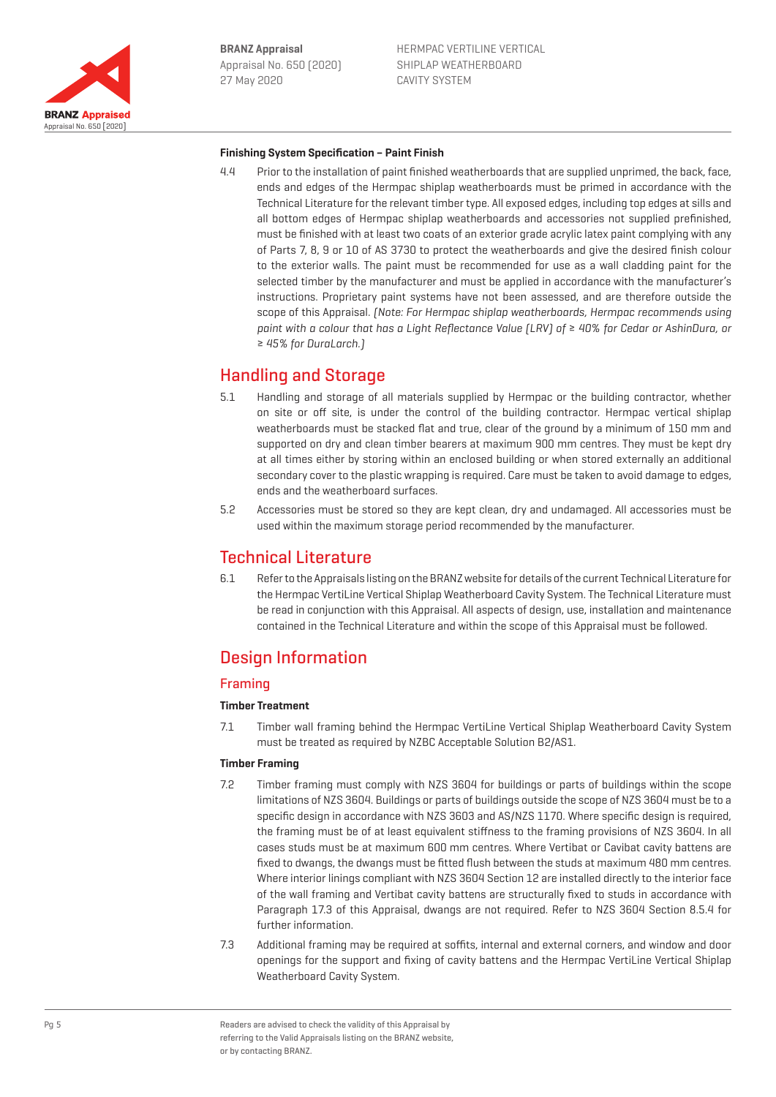

#### **Finishing System Specification – Paint Finish**

4.4 Prior to the installation of paint finished weatherboards that are supplied unprimed, the back, face, ends and edges of the Hermpac shiplap weatherboards must be primed in accordance with the Technical Literature for the relevant timber type. All exposed edges, including top edges at sills and all bottom edges of Hermpac shiplap weatherboards and accessories not supplied prefinished, must be finished with at least two coats of an exterior grade acrylic latex paint complying with any of Parts 7, 8, 9 or 10 of AS 3730 to protect the weatherboards and give the desired finish colour to the exterior walls. The paint must be recommended for use as a wall cladding paint for the selected timber by the manufacturer and must be applied in accordance with the manufacturer's instructions. Proprietary paint systems have not been assessed, and are therefore outside the scope of this Appraisal. (Note: For Hermpac shiplap weatherboards, Hermpac recommends using paint with a colour that has a Light Reflectance Value (LRV) of ≥ 40% for Cedar or AshinDura, or ≥ 45% for DuraLarch.)

# Handling and Storage

- 5.1 Handling and storage of all materials supplied by Hermpac or the building contractor, whether on site or off site, is under the control of the building contractor. Hermpac vertical shiplap weatherboards must be stacked flat and true, clear of the ground by a minimum of 150 mm and supported on dry and clean timber bearers at maximum 900 mm centres. They must be kept dry at all times either by storing within an enclosed building or when stored externally an additional secondary cover to the plastic wrapping is required. Care must be taken to avoid damage to edges, ends and the weatherboard surfaces.
- 5.2 Accessories must be stored so they are kept clean, dry and undamaged. All accessories must be used within the maximum storage period recommended by the manufacturer.

# Technical Literature

6.1 Refer to the Appraisals listing on the BRANZ website for details of the current Technical Literature for the Hermpac VertiLine Vertical Shiplap Weatherboard Cavity System. The Technical Literature must be read in conjunction with this Appraisal. All aspects of design, use, installation and maintenance contained in the Technical Literature and within the scope of this Appraisal must be followed.

# Design Information

## Framing

## **Timber Treatment**

7.1 Timber wall framing behind the Hermpac VertiLine Vertical Shiplap Weatherboard Cavity System must be treated as required by NZBC Acceptable Solution B2/AS1.

## **Timber Framing**

- 7.2 Timber framing must comply with NZS 3604 for buildings or parts of buildings within the scope limitations of NZS 3604. Buildings or parts of buildings outside the scope of NZS 3604 must be to a specific design in accordance with NZS 3603 and AS/NZS 1170. Where specific design is required, the framing must be of at least equivalent stiffness to the framing provisions of NZS 3604. In all cases studs must be at maximum 600 mm centres. Where Vertibat or Cavibat cavity battens are fixed to dwangs, the dwangs must be fitted flush between the studs at maximum 480 mm centres. Where interior linings compliant with NZS 3604 Section 12 are installed directly to the interior face of the wall framing and Vertibat cavity battens are structurally fixed to studs in accordance with Paragraph 17.3 of this Appraisal, dwangs are not required. Refer to NZS 3604 Section 8.5.4 for further information.
- 7.3 Additional framing may be required at soffits, internal and external corners, and window and door openings for the support and fixing of cavity battens and the Hermpac VertiLine Vertical Shiplap Weatherboard Cavity System.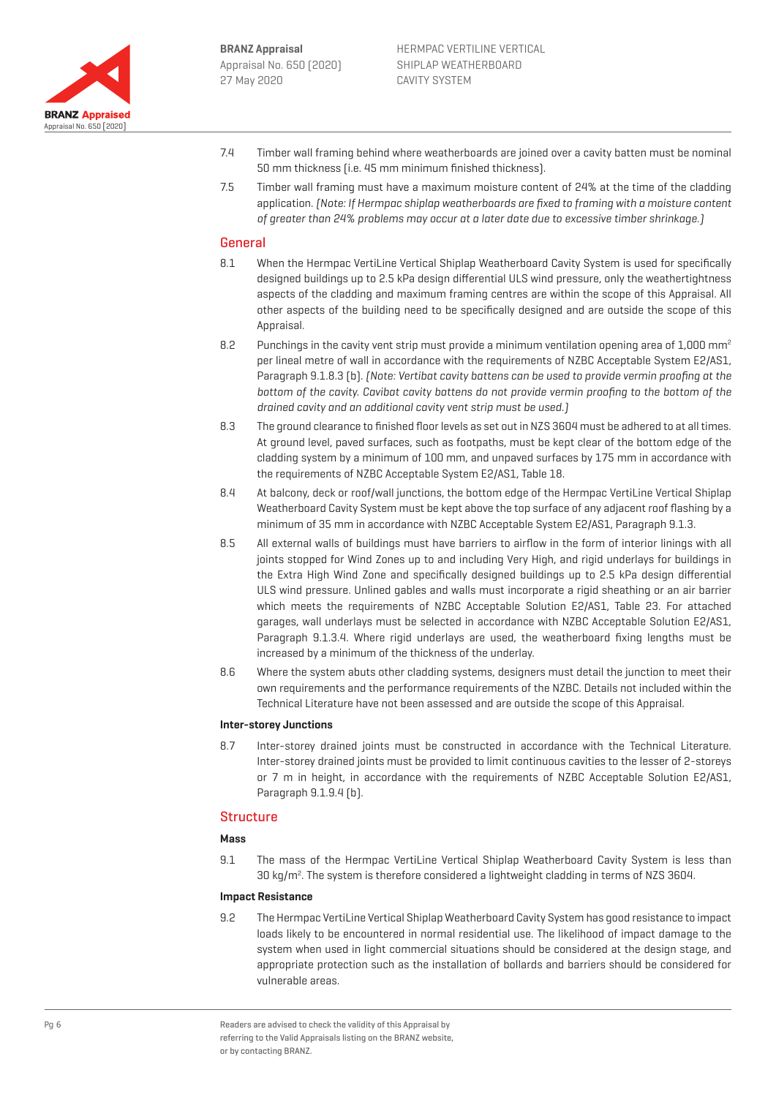

- 7.4 Timber wall framing behind where weatherboards are joined over a cavity batten must be nominal 50 mm thickness (i.e. 45 mm minimum finished thickness).
- 7.5 Timber wall framing must have a maximum moisture content of 24% at the time of the cladding application. (Note: If Hermpac shiplap weatherboards are fixed to framing with a moisture content of greater than 24% problems may occur at a later date due to excessive timber shrinkage.)

## **General**

- 8.1 When the Hermpac VertiLine Vertical Shiplap Weatherboard Cavity System is used for specifically designed buildings up to 2.5 kPa design differential ULS wind pressure, only the weathertightness aspects of the cladding and maximum framing centres are within the scope of this Appraisal. All other aspects of the building need to be specifically designed and are outside the scope of this Appraisal.
- 8.2 Punchings in the cavity vent strip must provide a minimum ventilation opening area of 1,000 mm<sup>2</sup> per lineal metre of wall in accordance with the requirements of NZBC Acceptable System E2/AS1, Paragraph 9.1.8.3 (b). (Note: Vertibat cavity battens can be used to provide vermin proofing at the bottom of the cavity. Cavibat cavity battens do not provide vermin proofing to the bottom of the drained cavity and an additional cavity vent strip must be used.)
- 8.3 The ground clearance to finished floor levels as set out in NZS 3604 must be adhered to at all times. At ground level, paved surfaces, such as footpaths, must be kept clear of the bottom edge of the cladding system by a minimum of 100 mm, and unpaved surfaces by 175 mm in accordance with the requirements of NZBC Acceptable System E2/AS1, Table 18.
- 8.4 At balcony, deck or roof/wall junctions, the bottom edge of the Hermpac VertiLine Vertical Shiplap Weatherboard Cavity System must be kept above the top surface of any adjacent roof flashing by a minimum of 35 mm in accordance with NZBC Acceptable System E2/AS1, Paragraph 9.1.3.
- 8.5 All external walls of buildings must have barriers to airflow in the form of interior linings with all joints stopped for Wind Zones up to and including Very High, and rigid underlays for buildings in the Extra High Wind Zone and specifically designed buildings up to 2.5 kPa design differential ULS wind pressure. Unlined gables and walls must incorporate a rigid sheathing or an air barrier which meets the requirements of NZBC Acceptable Solution E2/AS1, Table 23. For attached garages, wall underlays must be selected in accordance with NZBC Acceptable Solution E2/AS1, Paragraph 9.1.3.4. Where rigid underlays are used, the weatherboard fixing lengths must be increased by a minimum of the thickness of the underlay.
- 8.6 Where the system abuts other cladding systems, designers must detail the junction to meet their own requirements and the performance requirements of the NZBC. Details not included within the Technical Literature have not been assessed and are outside the scope of this Appraisal.

#### **Inter-storey Junctions**

8.7 Inter-storey drained joints must be constructed in accordance with the Technical Literature. Inter-storey drained joints must be provided to limit continuous cavities to the lesser of 2-storeys or 7 m in height, in accordance with the requirements of NZBC Acceptable Solution E2/AS1, Paragraph 9.1.9.4 (b).

## Structure

#### **Mass**

9.1 The mass of the Hermpac VertiLine Vertical Shiplap Weatherboard Cavity System is less than  $30 \text{ kg/m}^2$ . The system is therefore considered a lightweight cladding in terms of NZS 3604.

#### **Impact Resistance**

9.2 The Hermpac VertiLine Vertical Shiplap Weatherboard Cavity System has good resistance to impact loads likely to be encountered in normal residential use. The likelihood of impact damage to the system when used in light commercial situations should be considered at the design stage, and appropriate protection such as the installation of bollards and barriers should be considered for vulnerable areas.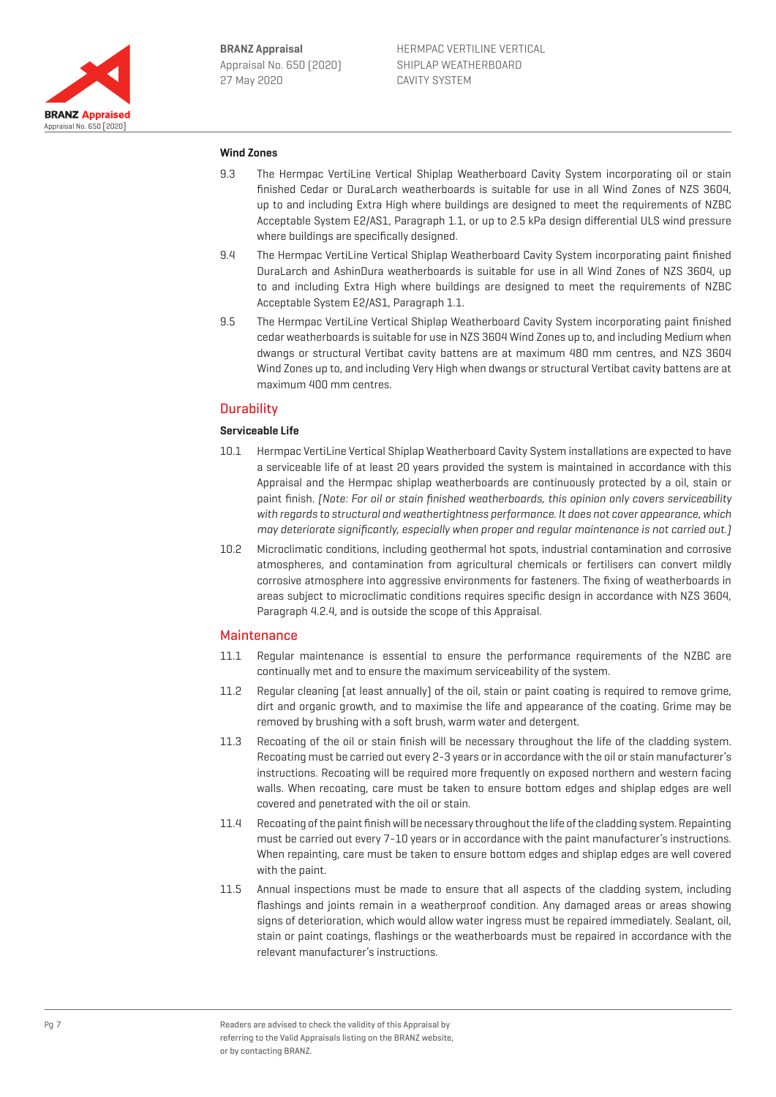

### **Wind Zones**

- 9.3 The Hermpac VertiLine Vertical Shiplap Weatherboard Cavity System incorporating oil or stain finished Cedar or DuraLarch weatherboards is suitable for use in all Wind Zones of NZS 3604, up to and including Extra High where buildings are designed to meet the requirements of NZBC Acceptable System E2/AS1, Paragraph 1.1, or up to 2.5 kPa design differential ULS wind pressure where buildings are specifically designed.
- 9.4 The Hermpac VertiLine Vertical Shiplap Weatherboard Cavity System incorporating paint finished DuraLarch and AshinDura weatherboards is suitable for use in all Wind Zones of NZS 3604, up to and including Extra High where buildings are designed to meet the requirements of NZBC Acceptable System E2/AS1, Paragraph 1.1.
- 9.5 The Hermpac VertiLine Vertical Shiplap Weatherboard Cavity System incorporating paint finished cedar weatherboards is suitable for use in NZS 3604 Wind Zones up to, and including Medium when dwangs or structural Vertibat cavity battens are at maximum 480 mm centres, and NZS 3604 Wind Zones up to, and including Very High when dwangs or structural Vertibat cavity battens are at maximum 400 mm centres.

## **Durability**

## **Serviceable Life**

- 10.1 Hermpac VertiLine Vertical Shiplap Weatherboard Cavity System installations are expected to have a serviceable life of at least 20 years provided the system is maintained in accordance with this Appraisal and the Hermpac shiplap weatherboards are continuously protected by a oil, stain or paint finish. (Note: For oil or stain finished weatherboards, this opinion only covers serviceability with regards to structural and weathertightness performance. It does not cover appearance, which may deteriorate significantly, especially when proper and regular maintenance is not carried out.)
- 10.2 Microclimatic conditions, including geothermal hot spots, industrial contamination and corrosive atmospheres, and contamination from agricultural chemicals or fertilisers can convert mildly corrosive atmosphere into aggressive environments for fasteners. The fixing of weatherboards in areas subject to microclimatic conditions requires specific design in accordance with NZS 3604, Paragraph 4.2.4, and is outside the scope of this Appraisal.

## **Maintenance**

- 11.1 Regular maintenance is essential to ensure the performance requirements of the NZBC are continually met and to ensure the maximum serviceability of the system.
- 11.2 Regular cleaning (at least annually) of the oil, stain or paint coating is required to remove grime, dirt and organic growth, and to maximise the life and appearance of the coating. Grime may be removed by brushing with a soft brush, warm water and detergent.
- 11.3 Recoating of the oil or stain finish will be necessary throughout the life of the cladding system. Recoating must be carried out every 2-3 years or in accordance with the oil or stain manufacturer's instructions. Recoating will be required more frequently on exposed northern and western facing walls. When recoating, care must be taken to ensure bottom edges and shiplap edges are well covered and penetrated with the oil or stain.
- 11.4 Recoating of the paint finish will be necessary throughout the life of the cladding system. Repainting must be carried out every 7-10 years or in accordance with the paint manufacturer's instructions. When repainting, care must be taken to ensure bottom edges and shiplap edges are well covered with the paint.
- 11.5 Annual inspections must be made to ensure that all aspects of the cladding system, including flashings and joints remain in a weatherproof condition. Any damaged areas or areas showing signs of deterioration, which would allow water ingress must be repaired immediately. Sealant, oil, stain or paint coatings, flashings or the weatherboards must be repaired in accordance with the relevant manufacturer's instructions.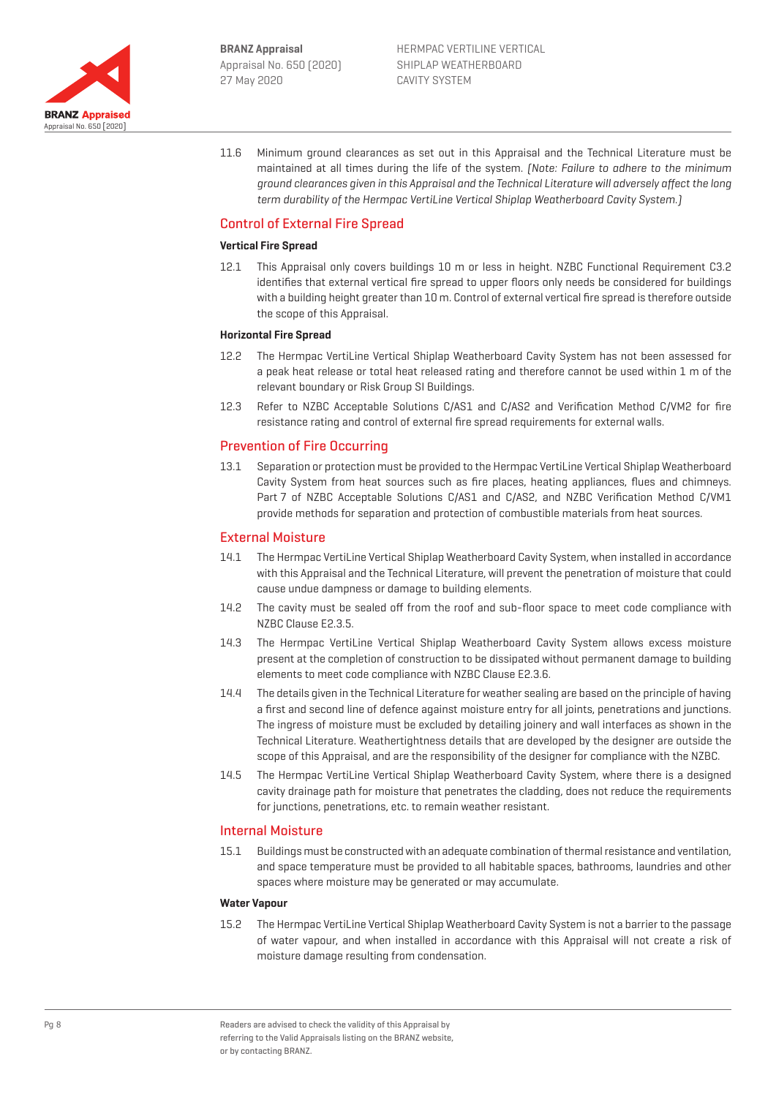

11.6 Minimum ground clearances as set out in this Appraisal and the Technical Literature must be maintained at all times during the life of the system. (Note: Failure to adhere to the minimum ground clearances given in this Appraisal and the Technical Literature will adversely affect the long term durability of the Hermpac VertiLine Vertical Shiplap Weatherboard Cavity System.)

## Control of External Fire Spread

#### **Vertical Fire Spread**

12.1 This Appraisal only covers buildings 10 m or less in height. NZBC Functional Requirement C3.2 identifies that external vertical fire spread to upper floors only needs be considered for buildings with a building height greater than 10 m. Control of external vertical fire spread is therefore outside the scope of this Appraisal.

### **Horizontal Fire Spread**

- 12.2 The Hermpac VertiLine Vertical Shiplap Weatherboard Cavity System has not been assessed for a peak heat release or total heat released rating and therefore cannot be used within 1 m of the relevant boundary or Risk Group SI Buildings.
- 12.3 Refer to NZBC Acceptable Solutions C/AS1 and C/AS2 and Verification Method C/VM2 for fire resistance rating and control of external fire spread requirements for external walls.

## Prevention of Fire Occurring

13.1 Separation or protection must be provided to the Hermpac VertiLine Vertical Shiplap Weatherboard Cavity System from heat sources such as fire places, heating appliances, flues and chimneys. Part 7 of NZBC Acceptable Solutions C/AS1 and C/AS2, and NZBC Verification Method C/VM1 provide methods for separation and protection of combustible materials from heat sources.

## External Moisture

- 14.1 The Hermpac VertiLine Vertical Shiplap Weatherboard Cavity System, when installed in accordance with this Appraisal and the Technical Literature, will prevent the penetration of moisture that could cause undue dampness or damage to building elements.
- 14.2 The cavity must be sealed off from the roof and sub-floor space to meet code compliance with NZBC Clause E2.3.5.
- 14.3 The Hermpac VertiLine Vertical Shiplap Weatherboard Cavity System allows excess moisture present at the completion of construction to be dissipated without permanent damage to building elements to meet code compliance with NZBC Clause E2.3.6.
- 14.4 The details given in the Technical Literature for weather sealing are based on the principle of having a first and second line of defence against moisture entry for all joints, penetrations and junctions. The ingress of moisture must be excluded by detailing joinery and wall interfaces as shown in the Technical Literature. Weathertightness details that are developed by the designer are outside the scope of this Appraisal, and are the responsibility of the designer for compliance with the NZBC.
- 14.5 The Hermpac VertiLine Vertical Shiplap Weatherboard Cavity System, where there is a designed cavity drainage path for moisture that penetrates the cladding, does not reduce the requirements for junctions, penetrations, etc. to remain weather resistant.

## Internal Moisture

15.1 Buildings must be constructed with an adequate combination of thermal resistance and ventilation, and space temperature must be provided to all habitable spaces, bathrooms, laundries and other spaces where moisture may be generated or may accumulate.

#### **Water Vapour**

15.2 The Hermpac VertiLine Vertical Shiplap Weatherboard Cavity System is not a barrier to the passage of water vapour, and when installed in accordance with this Appraisal will not create a risk of moisture damage resulting from condensation.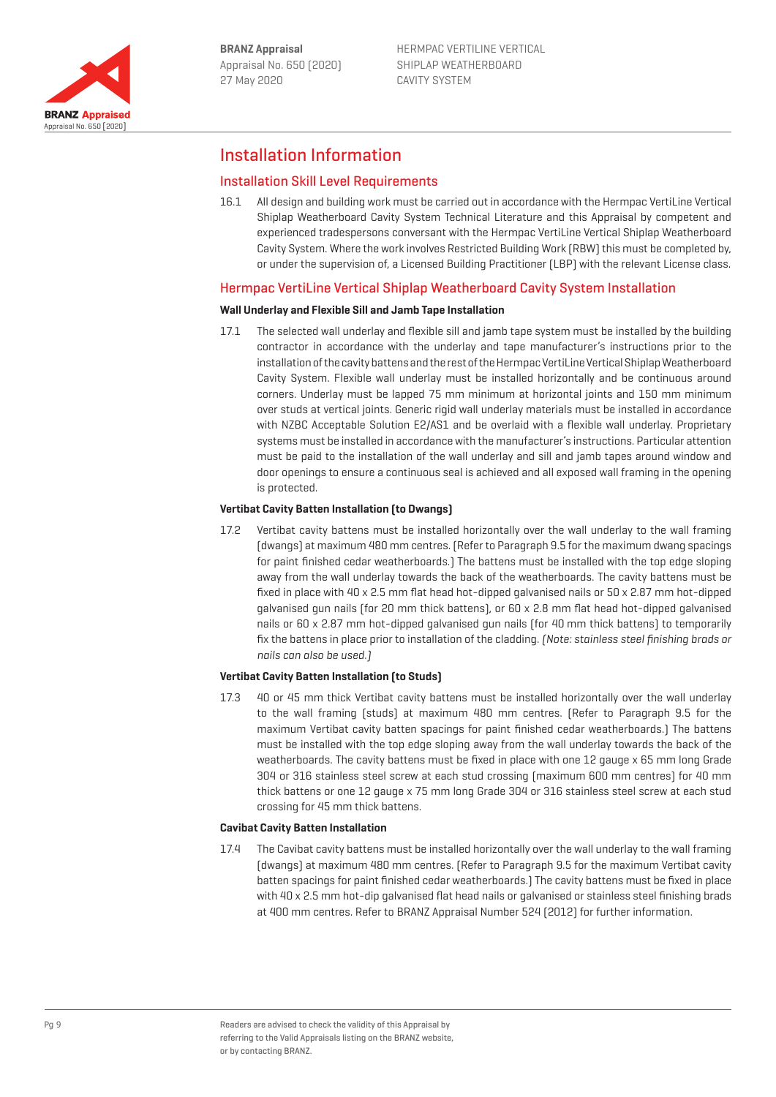

HERMPAC VERTILINE VERTICAL SHIPLAP WEATHERBOARD CAVITY SYSTEM

# Installation Information

## Installation Skill Level Requirements

16.1 All design and building work must be carried out in accordance with the Hermpac VertiLine Vertical Shiplap Weatherboard Cavity System Technical Literature and this Appraisal by competent and experienced tradespersons conversant with the Hermpac VertiLine Vertical Shiplap Weatherboard Cavity System. Where the work involves Restricted Building Work (RBW) this must be completed by, or under the supervision of, a Licensed Building Practitioner (LBP) with the relevant License class.

## Hermpac VertiLine Vertical Shiplap Weatherboard Cavity System Installation

#### **Wall Underlay and Flexible Sill and Jamb Tape Installation**

17.1 The selected wall underlay and flexible sill and jamb tape system must be installed by the building contractor in accordance with the underlay and tape manufacturer's instructions prior to the installation of the cavity battens and the rest of the Hermpac VertiLine Vertical Shiplap Weatherboard Cavity System. Flexible wall underlay must be installed horizontally and be continuous around corners. Underlay must be lapped 75 mm minimum at horizontal joints and 150 mm minimum over studs at vertical joints. Generic rigid wall underlay materials must be installed in accordance with NZBC Acceptable Solution E2/AS1 and be overlaid with a flexible wall underlay. Proprietary systems must be installed in accordance with the manufacturer's instructions. Particular attention must be paid to the installation of the wall underlay and sill and jamb tapes around window and door openings to ensure a continuous seal is achieved and all exposed wall framing in the opening is protected.

## **Vertibat Cavity Batten Installation (to Dwangs)**

17.2 Vertibat cavity battens must be installed horizontally over the wall underlay to the wall framing (dwangs) at maximum 480 mm centres. (Refer to Paragraph 9.5 for the maximum dwang spacings for paint finished cedar weatherboards.) The battens must be installed with the top edge sloping away from the wall underlay towards the back of the weatherboards. The cavity battens must be fixed in place with 40 x 2.5 mm flat head hot-dipped galvanised nails or 50 x 2.87 mm hot-dipped galvanised gun nails (for 20 mm thick battens), or 60 x 2.8 mm flat head hot-dipped galvanised nails or 60 x 2.87 mm hot-dipped galvanised gun nails (for 40 mm thick battens) to temporarily fix the battens in place prior to installation of the cladding. (Note: stainless steel finishing brads or nails can also be used.)

## **Vertibat Cavity Batten Installation (to Studs)**

17.3 40 or 45 mm thick Vertibat cavity battens must be installed horizontally over the wall underlay to the wall framing (studs) at maximum 480 mm centres. (Refer to Paragraph 9.5 for the maximum Vertibat cavity batten spacings for paint finished cedar weatherboards.) The battens must be installed with the top edge sloping away from the wall underlay towards the back of the weatherboards. The cavity battens must be fixed in place with one 12 gauge x 65 mm long Grade 304 or 316 stainless steel screw at each stud crossing (maximum 600 mm centres) for 40 mm thick battens or one 12 gauge x 75 mm long Grade 304 or 316 stainless steel screw at each stud crossing for 45 mm thick battens.

#### **Cavibat Cavity Batten Installation**

17.4 The Cavibat cavity battens must be installed horizontally over the wall underlay to the wall framing (dwangs) at maximum 480 mm centres. (Refer to Paragraph 9.5 for the maximum Vertibat cavity batten spacings for paint finished cedar weatherboards.) The cavity battens must be fixed in place with 40 x 2.5 mm hot-dip galvanised flat head nails or galvanised or stainless steel finishing brads at 400 mm centres. Refer to BRANZ Appraisal Number 524 (2012) for further information.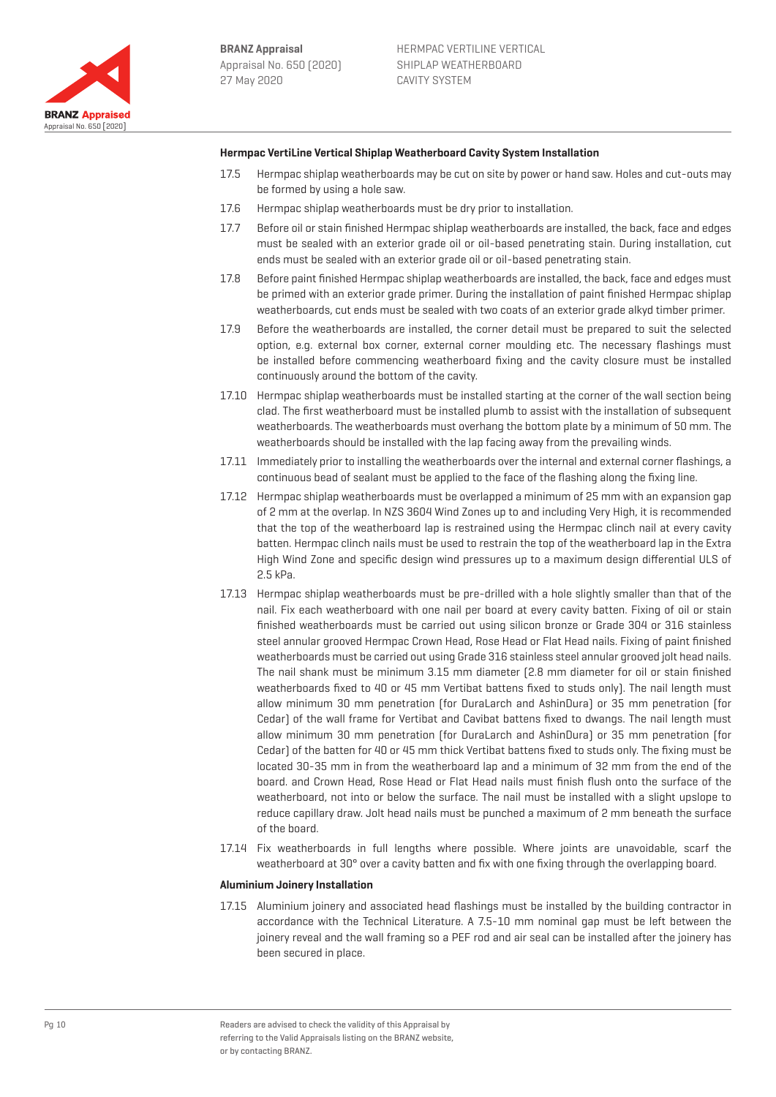

### **Hermpac VertiLine Vertical Shiplap Weatherboard Cavity System Installation**

- 17.5 Hermpac shiplap weatherboards may be cut on site by power or hand saw. Holes and cut-outs may be formed by using a hole saw.
- 17.6 Hermpac shiplap weatherboards must be dry prior to installation.
- 17.7 Before oil or stain finished Hermpac shiplap weatherboards are installed, the back, face and edges must be sealed with an exterior grade oil or oil-based penetrating stain. During installation, cut ends must be sealed with an exterior grade oil or oil-based penetrating stain.
- 17.8 Before paint finished Hermpac shiplap weatherboards are installed, the back, face and edges must be primed with an exterior grade primer. During the installation of paint finished Hermpac shiplap weatherboards, cut ends must be sealed with two coats of an exterior grade alkyd timber primer.
- 17.9 Before the weatherboards are installed, the corner detail must be prepared to suit the selected option, e.g. external box corner, external corner moulding etc. The necessary flashings must be installed before commencing weatherboard fixing and the cavity closure must be installed continuously around the bottom of the cavity.
- 17.10 Hermpac shiplap weatherboards must be installed starting at the corner of the wall section being clad. The first weatherboard must be installed plumb to assist with the installation of subsequent weatherboards. The weatherboards must overhang the bottom plate by a minimum of 50 mm. The weatherboards should be installed with the lap facing away from the prevailing winds.
- 17.11 Immediately prior to installing the weatherboards over the internal and external corner flashings, a continuous bead of sealant must be applied to the face of the flashing along the fixing line.
- 17.12 Hermpac shiplap weatherboards must be overlapped a minimum of 25 mm with an expansion gap of 2 mm at the overlap. In NZS 3604 Wind Zones up to and including Very High, it is recommended that the top of the weatherboard lap is restrained using the Hermpac clinch nail at every cavity batten. Hermpac clinch nails must be used to restrain the top of the weatherboard lap in the Extra High Wind Zone and specific design wind pressures up to a maximum design differential ULS of 2.5 kPa.
- 17.13 Hermpac shiplap weatherboards must be pre-drilled with a hole slightly smaller than that of the nail. Fix each weatherboard with one nail per board at every cavity batten. Fixing of oil or stain finished weatherboards must be carried out using silicon bronze or Grade 304 or 316 stainless steel annular grooved Hermpac Crown Head, Rose Head or Flat Head nails. Fixing of paint finished weatherboards must be carried out using Grade 316 stainless steel annular grooved jolt head nails. The nail shank must be minimum 3.15 mm diameter (2.8 mm diameter for oil or stain finished weatherboards fixed to 40 or 45 mm Vertibat battens fixed to studs only). The nail length must allow minimum 30 mm penetration (for DuraLarch and AshinDura) or 35 mm penetration (for Cedar) of the wall frame for Vertibat and Cavibat battens fixed to dwangs. The nail length must allow minimum 30 mm penetration (for DuraLarch and AshinDura) or 35 mm penetration (for Cedar) of the batten for 40 or 45 mm thick Vertibat battens fixed to studs only. The fixing must be located 30-35 mm in from the weatherboard lap and a minimum of 32 mm from the end of the board. and Crown Head, Rose Head or Flat Head nails must finish flush onto the surface of the weatherboard, not into or below the surface. The nail must be installed with a slight upslope to reduce capillary draw. Jolt head nails must be punched a maximum of 2 mm beneath the surface of the board.
- 17.14 Fix weatherboards in full lengths where possible. Where joints are unavoidable, scarf the weatherboard at 30° over a cavity batten and fix with one fixing through the overlapping board.

#### **Aluminium Joinery Installation**

17.15 Aluminium joinery and associated head flashings must be installed by the building contractor in accordance with the Technical Literature. A 7.5-10 mm nominal gap must be left between the joinery reveal and the wall framing so a PEF rod and air seal can be installed after the joinery has been secured in place.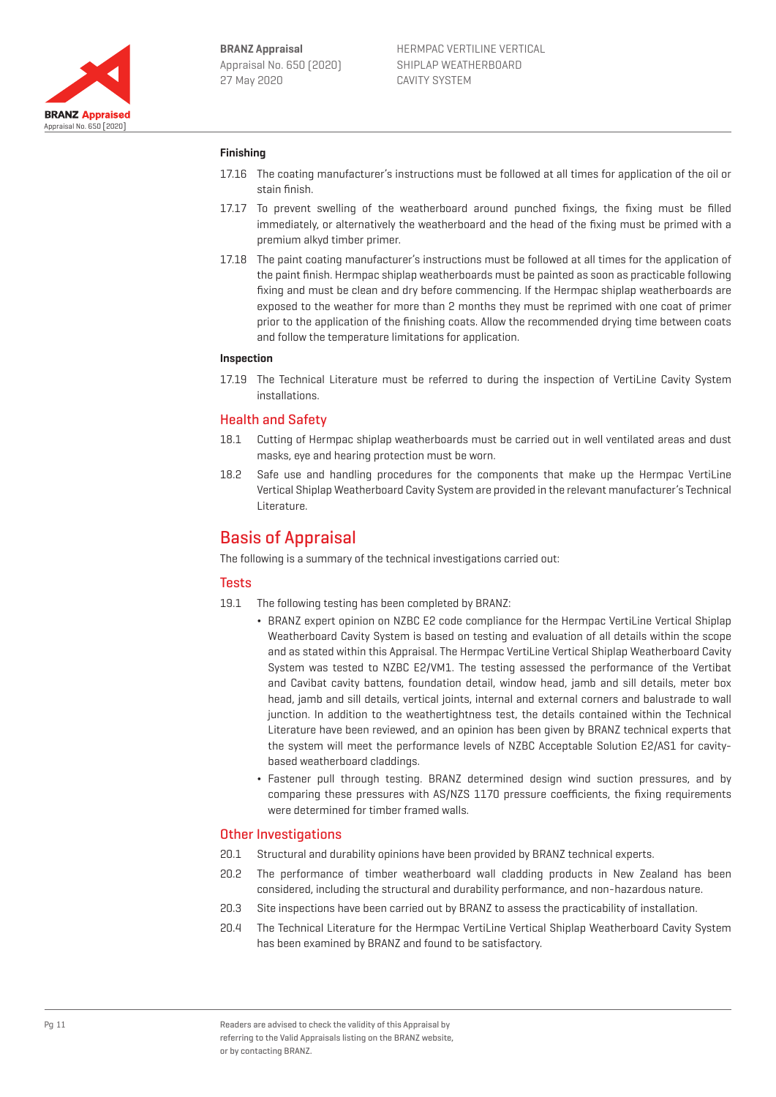

## **Finishing**

- 17.16 The coating manufacturer's instructions must be followed at all times for application of the oil or stain finish.
- 17.17 To prevent swelling of the weatherboard around punched fixings, the fixing must be filled immediately, or alternatively the weatherboard and the head of the fixing must be primed with a premium alkyd timber primer.
- 17.18 The paint coating manufacturer's instructions must be followed at all times for the application of the paint finish. Hermpac shiplap weatherboards must be painted as soon as practicable following fixing and must be clean and dry before commencing. If the Hermpac shiplap weatherboards are exposed to the weather for more than 2 months they must be reprimed with one coat of primer prior to the application of the finishing coats. Allow the recommended drying time between coats and follow the temperature limitations for application.

### **Inspection**

17.19 The Technical Literature must be referred to during the inspection of VertiLine Cavity System installations.

## Health and Safety

- 18.1 Cutting of Hermpac shiplap weatherboards must be carried out in well ventilated areas and dust masks, eye and hearing protection must be worn.
- 18.2 Safe use and handling procedures for the components that make up the Hermpac VertiLine Vertical Shiplap Weatherboard Cavity System are provided in the relevant manufacturer's Technical Literature.

# Basis of Appraisal

The following is a summary of the technical investigations carried out:

## **Tests**

- 19.1 The following testing has been completed by BRANZ:
	- ¬ BRANZ expert opinion on NZBC E2 code compliance for the Hermpac VertiLine Vertical Shiplap Weatherboard Cavity System is based on testing and evaluation of all details within the scope and as stated within this Appraisal. The Hermpac VertiLine Vertical Shiplap Weatherboard Cavity System was tested to NZBC E2/VM1. The testing assessed the performance of the Vertibat and Cavibat cavity battens, foundation detail, window head, jamb and sill details, meter box head, jamb and sill details, vertical joints, internal and external corners and balustrade to wall junction. In addition to the weathertightness test, the details contained within the Technical Literature have been reviewed, and an opinion has been given by BRANZ technical experts that the system will meet the performance levels of NZBC Acceptable Solution E2/AS1 for cavitybased weatherboard claddings.
	- ¬ Fastener pull through testing. BRANZ determined design wind suction pressures, and by comparing these pressures with AS/NZS 1170 pressure coefficients, the fixing requirements were determined for timber framed walls.

## Other Investigations

- 20.1 Structural and durability opinions have been provided by BRANZ technical experts.
- 20.2 The performance of timber weatherboard wall cladding products in New Zealand has been considered, including the structural and durability performance, and non-hazardous nature.
- 20.3 Site inspections have been carried out by BRANZ to assess the practicability of installation.
- 20.4 The Technical Literature for the Hermpac VertiLine Vertical Shiplap Weatherboard Cavity System has been examined by BRANZ and found to be satisfactory.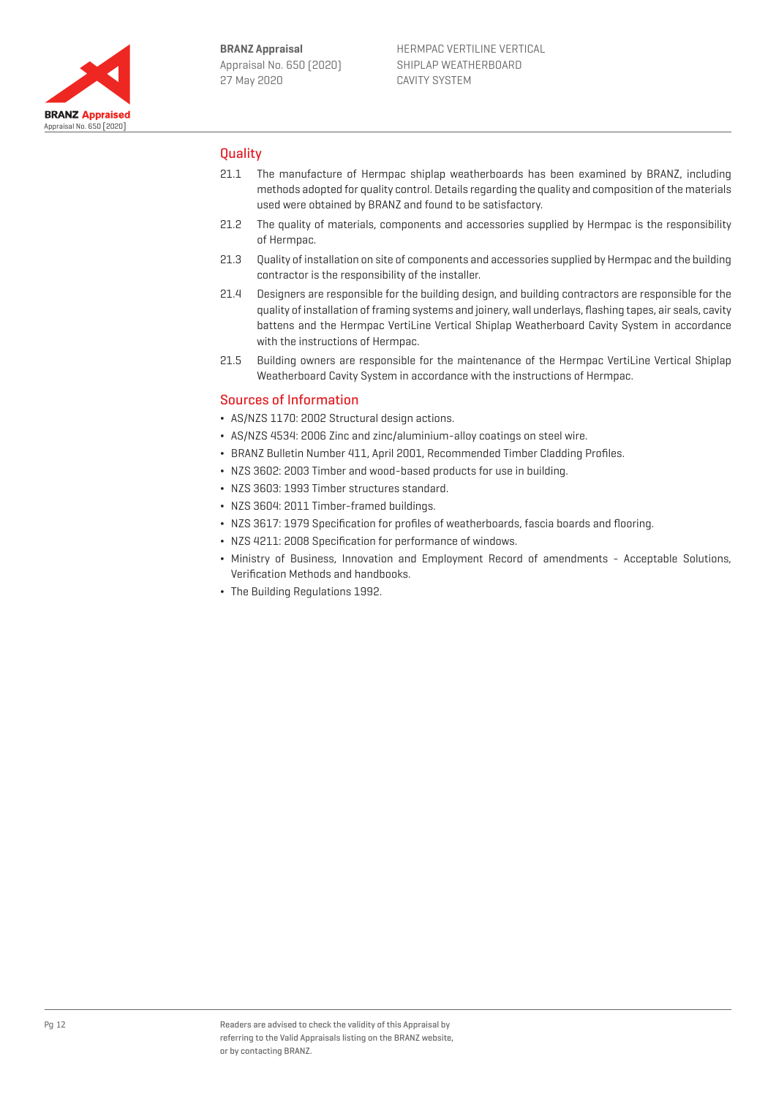

## **Ouality**

- 21.1 The manufacture of Hermpac shiplap weatherboards has been examined by BRANZ, including methods adopted for quality control. Details regarding the quality and composition of the materials used were obtained by BRANZ and found to be satisfactory.
- 21.2 The quality of materials, components and accessories supplied by Hermpac is the responsibility of Hermpac.
- 21.3 Quality of installation on site of components and accessories supplied by Hermpac and the building contractor is the responsibility of the installer.
- 21.4 Designers are responsible for the building design, and building contractors are responsible for the quality of installation of framing systems and joinery, wall underlays, flashing tapes, air seals, cavity battens and the Hermpac VertiLine Vertical Shiplap Weatherboard Cavity System in accordance with the instructions of Hermpac.
- 21.5 Building owners are responsible for the maintenance of the Hermpac VertiLine Vertical Shiplap Weatherboard Cavity System in accordance with the instructions of Hermpac.

## Sources of Information

- ¬ AS/NZS 1170: 2002 Structural design actions.
- ¬ AS/NZS 4534: 2006 Zinc and zinc/aluminium-alloy coatings on steel wire.
- ¬ BRANZ Bulletin Number 411, April 2001, Recommended Timber Cladding Profiles.
- ¬ NZS 3602: 2003 Timber and wood-based products for use in building.
- ¬ NZS 3603: 1993 Timber structures standard.
- ¬ NZS 3604: 2011 Timber-framed buildings.
- ¬ NZS 3617: 1979 Specification for profiles of weatherboards, fascia boards and flooring.
- ¬ NZS 4211: 2008 Specification for performance of windows.
- ¬ Ministry of Business, Innovation and Employment Record of amendments Acceptable Solutions, Verification Methods and handbooks.
- ¬ The Building Regulations 1992.